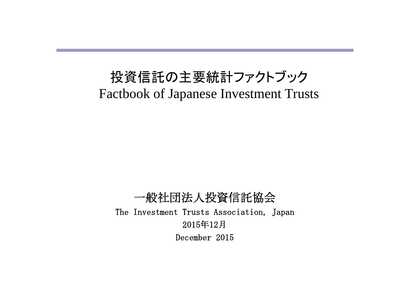# 投資信託の主要統計ファクトブック Factbook of Japanese Investment Trusts

一般社団法人投資信託協会 The Investment Trusts Association, Japan 2015年12月 December 2015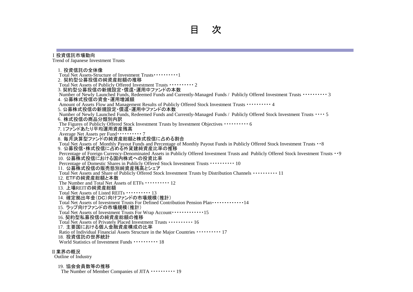#### 目 次

#### Ⅰ投資信託市場動向

Trend of Japanese Investment Trusts

1. 投資信託の全体像 Total Net Assets-Structure of Investment Trusts・・・・・・・・・・1 2. 契約型公募投信の純資産総額の推移 Total Net Assets of Publicly Offered Investment Trusts ・・・・・・・・・・ 2 3. 契約型公募投信の新規設定・償還・運用中ファンドの本数 Number of Newly Launched Funds, Redeemed Funds and Currently-Managed Funds / Publicly Offered Investment Trusts ・・・・・・・・・・ 3 4.公募株式投信の資金・運用増減額 Amount of Assets Flow and Management Results of Publicly Offered Stock Investment Trusts ・・・・・・・・・・ 4 5. 公募株式投信の新規設定・償還・運用中ファンドの本数 Number of Newly Launched Funds, Redeemed Funds and Currently-Managed Funds / Publicly Offered Stock Investment Trusts ・・・・ 5 6.株式投信の商品分類別内訳 The Figures of Publicly Offered Stock Investment Trusts by Investment Objectives ・・・・・・・・・・ 6 7. 1ファンドあたり平均運用資産残高 Average Net Assets per Fund・・・・・・・・・・ 7 8.毎月決算型ファンドの純資産総額と株式投信に占める割合 Total Net Assets of Monthly Payout Funds and Percentage of Monthly Payout Funds in Publicly Offered Stock Investment Trusts ・・8 9.公募投信・株式投信に占める外貨建純資産比率の推移 Percentage of Foreign Currency-Denominated Assets in Publicly Offered Investment Trusts and Publicly Offered Stock Investment Trusts ・・9 10.公募株式投信における国内株式への投資比率 Percentage of Domestic Shares in Publicly Offered Stock Investment Trusts •••••••••••• 10 11.公募株式投信の販売態別純資産残高とシェア Total Net Assets and Share of Publicly Offered Stock Investment Trusts by Distribution Channels ・・・・・・・・・・ 11 12.ETFの純資産総額と本数 The Number and Total Net Assets of ETFs  $\cdots$   $\cdots$  12 13.上場REITの純資産総額 Total Net Assets of Listed REITs ・・・・・・・・・・ 13 14.確定拠出年金(DC)向けファンドの市場規模(推計) Total Net Assets of Investment Trusts For Defined Contribution Pension Plan・・・・・・・・・・・・・14 15.ラップ向けファンドの市場規模(推計) Total Net Assets of Investment Trusts For Wrap Account・・・・・・・・・・・・・15 16. 契約型私募投信の純資産総額の推移 Total Net Assets of Privately Placed Investment Trusts ・・・・・・・・・・ 16 17.主要国における個人金融資産構成の比率 Ratio of Individual Financial Assets Structure in the Major Countries ・・・・・・・・・・ 17 18.投資信託の世界統計 World Statistics of Investment Funds ・・・・・・・・・・ 18

#### Ⅱ業界の概況

Outline of Industry

#### 19.協会会員数等の推移

The Number of Member Companies of JITA  $\cdots$  19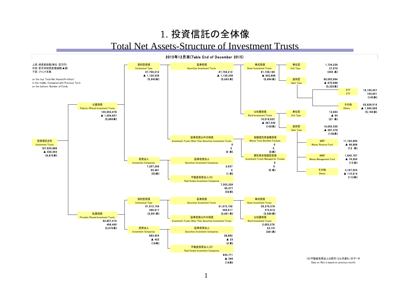#### 1. 投資信託の全体像 Total Net Assets-Structure of Investment Trusts

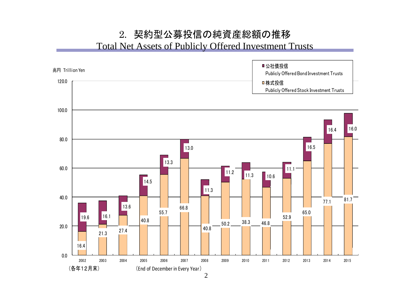#### 2. 契約型公募投信の純資産総額の推移 Total Net Assets of Publicly Offered Investment Trusts

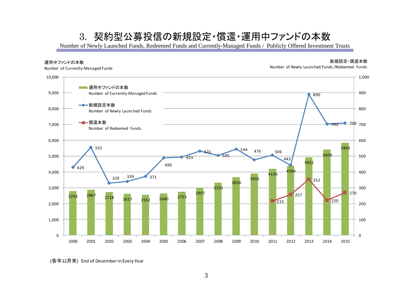#### 3. 契約型公募投信の新規設定・償還・運用中ファンドの本数

Number of Newly Launched Funds, Redeemed Funds and Currently-Managed Funds / Publicly Offered Investment Trusts



<sup>(</sup>各年12月末) End of December in Every Year

新規設定・償還本数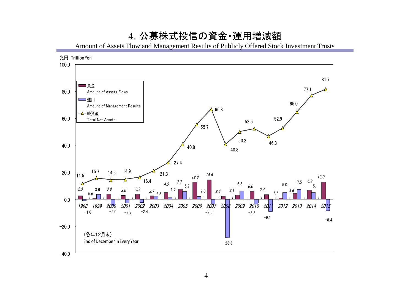#### 4. 公募株式投信の資金・運用増減額

Amount of Assets Flow and Management Results of Publicly Offered Stock Investment Trusts

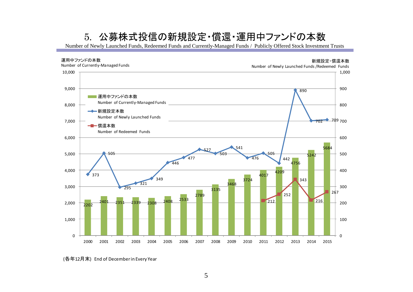### 5. 公募株式投信の新規設定・償還・運用中ファンドの本数

Number of Newly Launched Funds, Redeemed Funds and Currently-Managed Funds / Publicly Offered Stock Investment Trusts



<sup>(</sup>各年12月末) End of December in Every Year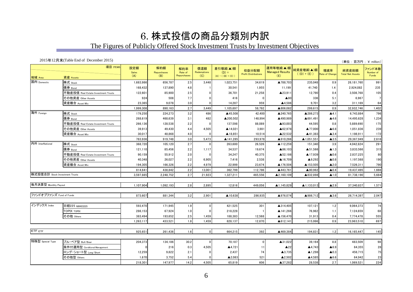#### 6. 株式投信の商品分類別内訳

The Figures of Publicly Offered Stock Investment Trusts by Investment Objectives

2015年12月末(Table End of December 2015) 地域 Area 資産 Assets 株式 <sub>Stock</sub> | 1,683,986 | 656,787 | 2.5| 3,448 | 1,023,751 | 34,619 | ▲788,703 | 235,048 | 0.9 | 26,181,760 | 991 債券 <sub>Bond</sub> | 168,432 | 137,890 | 4.8 | 1 | 30,541 | 1,955 | 11,199 | 41,740 | 1.4 | 2,924,082 | 235 不動産投信 Real Estate Investment Trusts │ 122,601│ 85,900│ 2.5│ 0│ 36,701│ 21,258│ 12,23,911│ 12,790│ 0.4│ 3,508,768│ 105 その他資産 Other Assets 924 508 7.7 0 416 0 ▲80 336 5.1 6,967 7 資産複合 Asset Mix | 23,365 | 9,078 | 3.0 | 0 | 14,287 | 959 | ▲4,586 | 9,701 | 3.2 | 311,169 | 64 1,999,308 890,163 2.7 3,449 1,105,697 58,792 ▲806,082 299,615 0.9 32,932,746 1,402 株式 Stock 179,250 22,4,273 3.2 486 ▲45,508 42,400 ▲240,765 ▲286,273 ▲4.1 6,743,884 796 債券 Bond 268,619 468,639 3.1 482 ▲200,502 148,994 ▲490,989 ▲691,491 ▲4.6 14,495,628 1,234 不動産投信 Real Estate Investment Trusts 266.136 128.538 2.2 0 137.598 88.089 ▲4.595 44.595 0.8 5.889.690 175 その他資産 Other Assets │ 39,913 │ 49,430 │ 4.4 │ 4,505 │ ▲14,021 │ 3,981 │ ▲62,978 │ ▲77,000 │ ▲6.8 │ 1,051,836 │ 239 資産複合 Asset Mix 30,017 48,868 4.0 0 ▲18,851 10,514 ▲22,532 ▲41,383 ▲3.4 1,186,911 172 783,936 919,748 3.0 5,473 ▲141,285 293,978 ▲910,266 ▲1,051,551 ▲3.5 29,367,949 2,616 株式 <sub>Stock</sub> 368,720 105,120 2.7 0 263,600 26,526 ▲112,259 151,340 3.9 4,042,824 291 債券 <sub>Bond</sub> | 121,110 85,456 | 2.2 | 1,117 | 34,537 | 19,674 | ▲86,103 | ▲51,566 | ▲1.3 | 3,833,566 | 315 不動産投信 Real Estate Investment Trusts 90,159 55,912 2.0 4.247 40.375 ▲52,186 ▲17,939 ▲0.6 2.837.225 80 その他資産 Other Assets | 40,348 | 26,027 | 2.2 | 6,905 | 7,416 | 2,538 | ▲0.799 | ▲9,292 | ▲0.8 | 1,197,568 | 190 資産複合 <sub>Asset</sub> <sub>Mix</sub> | 194,305 | 166,326 | 2.2 | 4,979 | 22,999 | **△**176,504 | ▲176,504 | ▲153,505 | ▲2.0 | 7,526,311 | 790 814,641 438,842 2.2 13,001 362,799 112,786 ▲443,761 ▲80,962 ▲0.4 19,437,495 1,666 3,597,885 2,248,752 2.7 21,923 1,327,211 465,556 ▲2,160,109 ▲832,898 ▲1.0 81,738,190 5,684 1,107,904 1,092,193 2.8 2,895 12,816 449,056 ▲1,145,829 ▲1,133,013 ▲2.9 37,340,837 1,571 873,607 881,344 3.2 2,901 ▲10,638 286,935 ▲976,074 ▲986,712 ▲3.6 26,714,397 2,047 日経225 NIKKEI225 593,470 171,945 1.9 0 421,525 301 ▲314,405 107,121 1.2 9,064,373 74 TOPIX TOPIX 286,153 67,924 1.0 0 218,228 1 ▲141,266 76,962 1.1 7,124,659 68 その他 Others | 383,494 | 193,652 | 2.5 | 1,459 | 188,383 | 12,568 | ▲156,470 | 31,913 | 0.4 | 7,774,478 | 555 1,263,117 433,521 1.8 1,459 828,137 12,870 ▲612,141 215,996 0.9 23,963,510 697 925,651 261,436│ 1.6│ 0│ 664,215│ 392│ ▲469,384│ 194,831│ 1.2│ 16,165,447│ 145 ブル・ベア型 Bull/Bear 204,373 134,186 30.2 0 70,187 0 ▲31,022 39,164 8.8 483,509 98 条件付運用型 Conditional Management │ 216│ 0.3│ 4,505│ ▲4,721│ ▲22│ ▲4,743│ ▲6.9│ 64,355│ 28 ロング・ショート型 Long/Short 12,259 9,822 2.1 0 2,437 74 ▲3,735 ▲1,298 ▲0.3 456,715 75 その他型 Others | 1,670 | 3,752 | 5.4 | 0 | ▲2,083 | ▲2,502 | ▲4,585 | ▲6.6 | 64,942 | 23 (単位 : 百万円 ; ¥ million) 項目 ITEMS 設定額 Sales  $(A)$ 解約額 Repurchases (B) 解約率 Rate of Repurchase 償還額 **Redemptions**  $\overline{(\mathbf{C})}$ 差引増減(▲)額  $(D) =$  $(A) - ( (B) + (C))$ 収益分配額 Profit Distributions 運用等増減(▲)額 Managed Results (E) 純資産増減(▲)額  $((D) + (E))$ 増減率 Rate of Change 純資産総額 Total Net Assets ファンド本数 Number of Funds インデックス Index ETF ETF 特殊型 Special Type 国内 Domestic 海外 Foreign 内外 InterNational 株式投信合計 Stock Investment Trusts 毎月決算型 Monthly Payout ファンドオブファンズ Fund of Funds

218,301 147,977 14.2 4,505 65,819 606 ▲37,282 28,538 2.7 1,069,521 224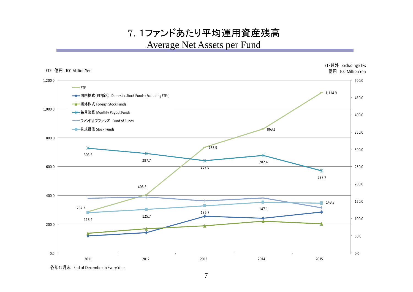### 7. 1ファンドあたり平均運用資産残高 Average Net Assets per Fund



各年12月末 End of Decemberin Every Year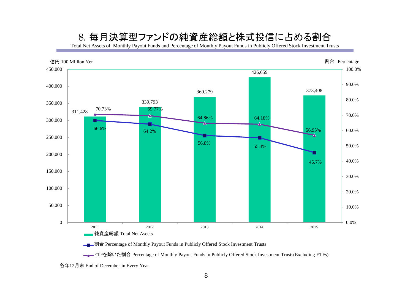#### 8. 毎月決算型ファンドの純資産総額と株式投信に占める割合

Total Net Assets of Monthly Payout Funds and Percentage of Monthly Payout Funds in Publicly Offered Stock Investment Trusts



**→■→割合** Percentage of Monthly Payout Funds in Publicly Offered Stock Investment Trusts

<u>■</u>■ETFを除いた割合 Percentage of Monthly Payout Funds in Publicly Offered Stock Investment Trusts(Excluding ETFs)

各年12月末 End of December in Every Year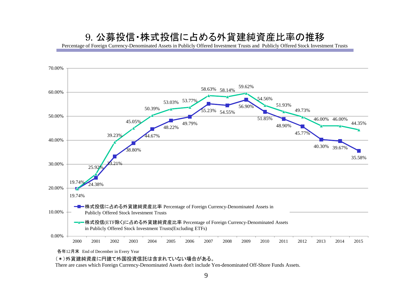#### 9. 公募投信・株式投信に占める外貨建純資産比率の推移

Percentage of Foreign Currency-Denominated Assets in Publicly Offered Investment Trusts and Publicly Offered Stock Investment Trusts



各年12月末 End of December in Every Year

(\*)外貨建純資産に円建て外国投資信託は含まれていない場合がある。

There are cases which Foreign Currency-Denominated Assets don't include Yen-denominated Off-Shore Funds Assets.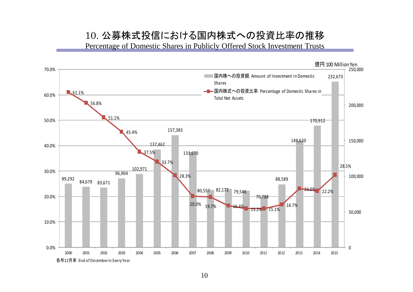#### 10. 公募株式投信における国内株式への投資比率の推移

Percentage of Domestic Shares in Publicly Offered Stock Investment Trusts

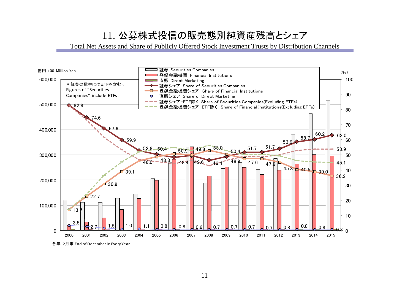## 11. 公募株式投信の販売態別純資産残高とシェア

Total Net Assets and Share of Publicly Offered Stock Investment Trusts by Distribution Channels



各年12月末 End of December in Every Year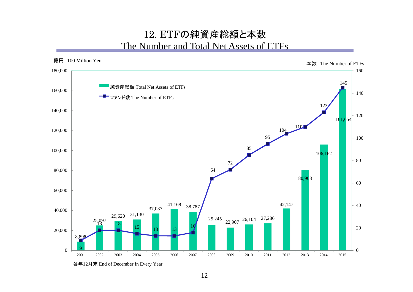#### 12. ETFの純資産総額と本数 The Number and Total Net Assets of ETFs



12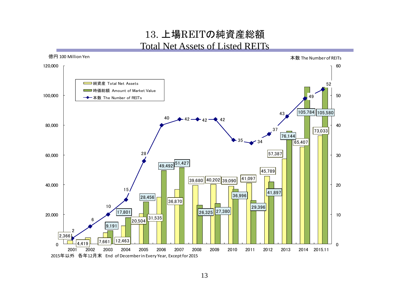#### 13. 上場REITの純資産総額 Total Net Assets of Listed REITs

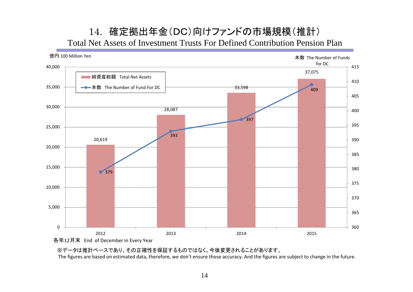#### 14. 確定拠出年金(DC)向けファンドの市場規模(推計) Total Net Assets of Investment Trusts For Defined Contribution Pension Plan



※データは推計ベースであり、その正確性を保証するものではなく、今後変更されることがあります。

The figures are based on estimated data, therefore, we don't ensure those accuracy. And the figures are subject to change in the future.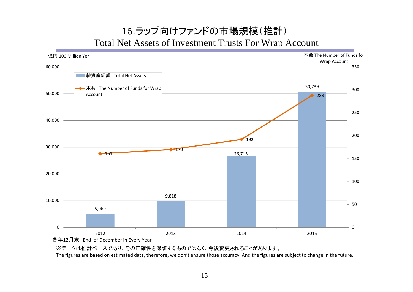### 15.ラップ向けファンドの市場規模(推計) Total Net Assets of Investment Trusts For Wrap Account



※データは推計ベースであり、その正確性を保証するものではなく、今後変更されることがあります。 The figures are based on estimated data, therefore, we don't ensure those accuracy. And the figures are subject to change in the future.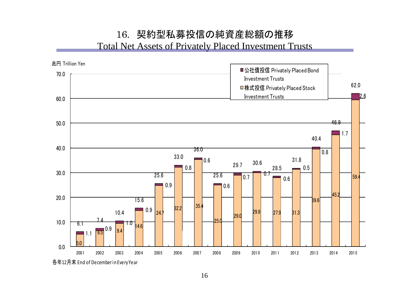#### 16. 契約型私募投信の純資産総額の推移 Total Net Assets of Privately Placed Investment Trusts

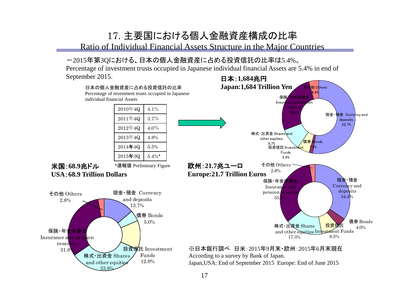### 17. 主要国における個人金融資産構成の比率

Ratio of Individual Financial Assets Structure in the Major Countries

#### -2015年第3Qにおける、日本の個人金融資産に占める投資信託の比率は5.4%。

Percentage of investment trusts occupied in Japanese individual financial Assets are 5.4% in end of September 2015. 日本:**1,684**兆円

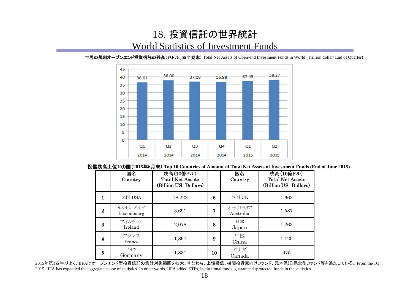#### 18. 投資信託の世界統計 World Statistics of Investment Funds



世界の規制オープンエンド投資信託の残高(兆ドル、四半期末) Total Net Assets of Open-end Investment Funds in World (Trillion dollar/ End of Quarter)

投信残高上位**10**カ国(**2015**年**6**月末) **Top 10 Countries of Amount of Total Net Assets of Investment Funds (End of June 2015)**

|          | 国名<br>Country         | 残高(10億ドル)<br><b>Total Net Assets</b><br>(Billion US Dollars) |    | 国名<br>Country        | 残高(10億ドル)<br><b>Total Net Assets</b><br>(Billion US Dollars) |
|----------|-----------------------|--------------------------------------------------------------|----|----------------------|--------------------------------------------------------------|
| 1        | 米国 $USA$              | 18,222                                                       | 6  | 英国 UK                | 1,662                                                        |
| $\bf{2}$ | ルクセンブルグ<br>Luxembourg | 3,691                                                        | 7  | オーストラリア<br>Australia | 1,587                                                        |
| 3        | アイルランド<br>Ireland     | 2,078                                                        | 8  | 日本<br>Japan          | 1,263                                                        |
| 4        | フランス<br>France        | 1,897                                                        | 9  | 中国<br>China          | 1,120                                                        |
| 5        | ドイツ<br>Germany        | 1,831                                                        | 10 | カナダ<br>Canada        | 975                                                          |

2015年第1四半期より、IIFAはオープンエンド型投資信託の集計対象範囲を拡大、すなわち、上場投信、機関投資家向けファンド、元本保証/保全型ファンド等を追加している。 From the 1Q 2015, IIFA has expanded the aggregate scope of statistics. In other words, IIFA added ETFs, institutional funds, guaranteed /protected funds in the statistics.